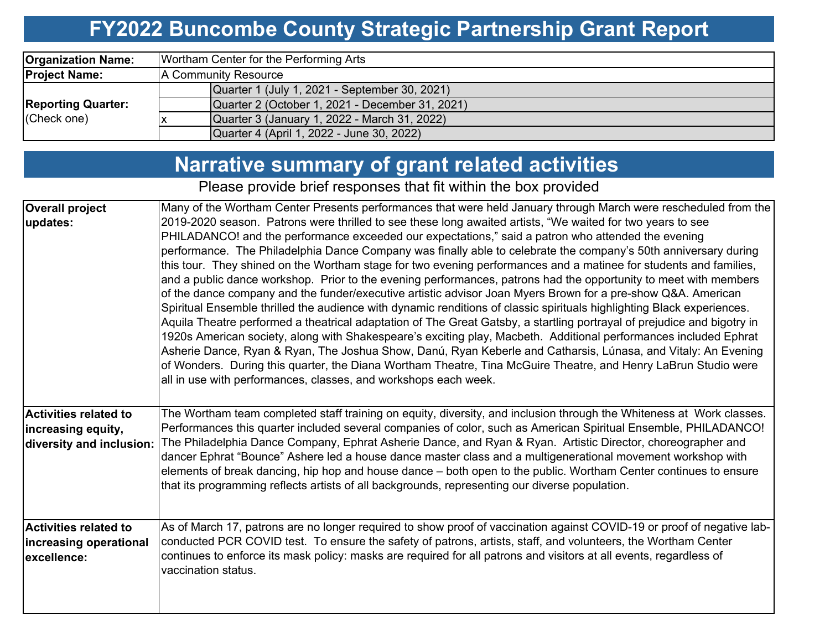#### **FY2022 Buncombe County Strategic Partnership Grant Report**

| <b>Organization Name:</b> | Wortham Center for the Performing Arts          |  |  |  |  |  |  |  |
|---------------------------|-------------------------------------------------|--|--|--|--|--|--|--|
| <b>Project Name:</b>      | A Community Resource                            |  |  |  |  |  |  |  |
|                           | Quarter 1 (July 1, 2021 - September 30, 2021)   |  |  |  |  |  |  |  |
| <b>Reporting Quarter:</b> | Quarter 2 (October 1, 2021 - December 31, 2021) |  |  |  |  |  |  |  |
| (Check one)               | Quarter 3 (January 1, 2022 - March 31, 2022)    |  |  |  |  |  |  |  |
|                           | Quarter 4 (April 1, 2022 - June 30, 2022)       |  |  |  |  |  |  |  |

# **Narrative summary of grant related activities**

Please provide brief responses that fit within the box provided

| <b>Overall project</b>   | Many of the Wortham Center Presents performances that were held January through March were rescheduled from the         |
|--------------------------|-------------------------------------------------------------------------------------------------------------------------|
| updates:                 | 2019-2020 season. Patrons were thrilled to see these long awaited artists, "We waited for two years to see              |
|                          | PHILADANCO! and the performance exceeded our expectations," said a patron who attended the evening                      |
|                          | performance. The Philadelphia Dance Company was finally able to celebrate the company's 50th anniversary during         |
|                          | this tour. They shined on the Wortham stage for two evening performances and a matinee for students and families,       |
|                          | and a public dance workshop. Prior to the evening performances, patrons had the opportunity to meet with members        |
|                          | of the dance company and the funder/executive artistic advisor Joan Myers Brown for a pre-show Q&A. American            |
|                          | Spiritual Ensemble thrilled the audience with dynamic renditions of classic spirituals highlighting Black experiences.  |
|                          | Aquila Theatre performed a theatrical adaptation of The Great Gatsby, a startling portrayal of prejudice and bigotry in |
|                          | 1920s American society, along with Shakespeare's exciting play, Macbeth. Additional performances included Ephrat        |
|                          | Asherie Dance, Ryan & Ryan, The Joshua Show, Danú, Ryan Keberle and Catharsis, Lúnasa, and Vitaly: An Evening           |
|                          | of Wonders. During this quarter, the Diana Wortham Theatre, Tina McGuire Theatre, and Henry LaBrun Studio were          |
|                          | all in use with performances, classes, and workshops each week.                                                         |
|                          |                                                                                                                         |
|                          |                                                                                                                         |
| Activities related to    | The Wortham team completed staff training on equity, diversity, and inclusion through the Whiteness at Work classes.    |
| increasing equity,       | Performances this quarter included several companies of color, such as American Spiritual Ensemble, PHILADANCO!         |
| diversity and inclusion: | The Philadelphia Dance Company, Ephrat Asherie Dance, and Ryan & Ryan. Artistic Director, choreographer and             |
|                          | dancer Ephrat "Bounce" Ashere led a house dance master class and a multigenerational movement workshop with             |
|                          | elements of break dancing, hip hop and house dance – both open to the public. Wortham Center continues to ensure        |
|                          | that its programming reflects artists of all backgrounds, representing our diverse population.                          |
|                          |                                                                                                                         |
| Activities related to    | As of March 17, patrons are no longer required to show proof of vaccination against COVID-19 or proof of negative lab-  |
|                          | conducted PCR COVID test. To ensure the safety of patrons, artists, staff, and volunteers, the Wortham Center           |
| increasing operational   | continues to enforce its mask policy: masks are required for all patrons and visitors at all events, regardless of      |
| lexcellence:             | vaccination status.                                                                                                     |
|                          |                                                                                                                         |
|                          |                                                                                                                         |
|                          |                                                                                                                         |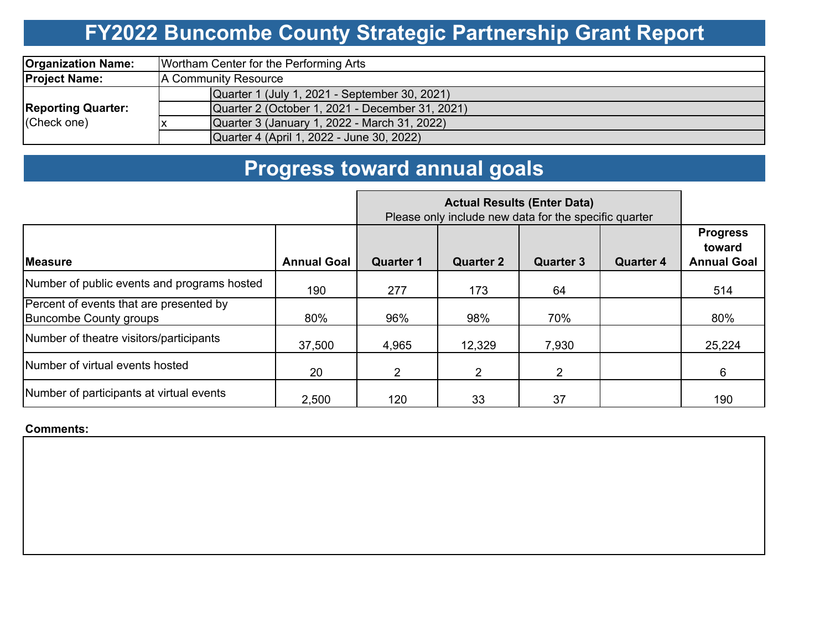# **FY2022 Buncombe County Strategic Partnership Grant Report**

| <b>Organization Name:</b>                | Wortham Center for the Performing Arts          |  |  |  |  |  |  |
|------------------------------------------|-------------------------------------------------|--|--|--|--|--|--|
| <b>Project Name:</b>                     | A Community Resource                            |  |  |  |  |  |  |
|                                          | Quarter 1 (July 1, 2021 - September 30, 2021)   |  |  |  |  |  |  |
| <b>Reporting Quarter:</b><br>(Check one) | Quarter 2 (October 1, 2021 - December 31, 2021) |  |  |  |  |  |  |
|                                          | Quarter 3 (January 1, 2022 - March 31, 2022)    |  |  |  |  |  |  |
|                                          | Quarter 4 (April 1, 2022 - June 30, 2022)       |  |  |  |  |  |  |

# **Progress toward annual goals**

|                                                                          | Please only include new data for the specific quarter |                  |                  |                  |                  |                                                 |
|--------------------------------------------------------------------------|-------------------------------------------------------|------------------|------------------|------------------|------------------|-------------------------------------------------|
| <b>IMeasure</b>                                                          | <b>Annual Goal</b>                                    | <b>Quarter 1</b> | <b>Quarter 2</b> | <b>Quarter 3</b> | <b>Quarter 4</b> | <b>Progress</b><br>toward<br><b>Annual Goal</b> |
| Number of public events and programs hosted                              | 190                                                   | 277              | 173              | 64               |                  | 514                                             |
| Percent of events that are presented by<br><b>Buncombe County groups</b> | 80%                                                   | 96%              | 98%              | 70%              |                  | 80%                                             |
| Number of theatre visitors/participants                                  | 37,500                                                | 4,965            | 12,329           | 7,930            |                  | 25,224                                          |
| Number of virtual events hosted                                          | 20                                                    | $\overline{2}$   | 2                | 2                |                  | 6                                               |
| Number of participants at virtual events                                 | 2,500                                                 | 120              | 33               | 37               |                  | 190                                             |

#### **Comments:**